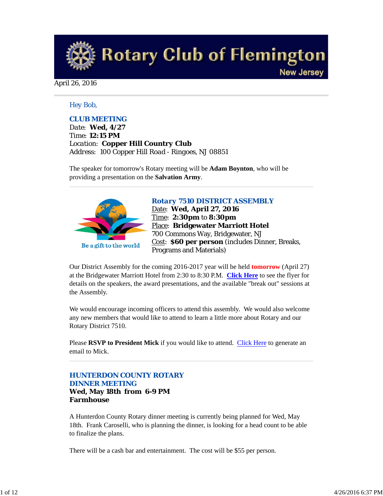

### April 26, 2016

### *Hey Bob,*

### *CLUB MEETING*

*Date: Wed, 4/27 Time: 12:15 PM Location: Copper Hill Country Club Address: 100 Copper Hill Road - Ringoes, NJ 08851*

The speaker for tomorrow's Rotary meeting will be **Adam Boynton**, who will be providing a presentation on the **Salvation Army**.



#### *Rotary 7510 DISTRICT ASSEMBLY*

Date: **Wed, April 27, 2016** Time: **2:30pm** to **8:30pm** Place: **Bridgewater Marriott Hotel** 700 Commons Way, Bridgewater, NJ Cost: **\$60 per person** (includes Dinner, Breaks, Programs and Materials)

Our District Assembly for the coming 2016-2017 year will be held **tomorrow** (April 27) at the Bridgewater Marriott Hotel from 2:30 to 8:30 P.M. **Click Here** to see the flyer for details on the speakers, the award presentations, and the available "break out" sessions at the Assembly.

We would encourage incoming officers to attend this assembly. We would also welcome any new members that would like to attend to learn a little more about Rotary and our Rotary District 7510.

Please **RSVP to President Mick** if you would like to attend. Click Here to generate an email to Mick.

### *HUNTERDON COUNTY ROTARY DINNER MEETING*

#### **Wed, May 18th from 6-9 PM Farmhouse**

A Hunterdon County Rotary dinner meeting is currently being planned for Wed, May 18th. Frank Caroselli, who is planning the dinner, is looking for a head count to be able to finalize the plans.

There will be a cash bar and entertainment. The cost will be \$55 per person.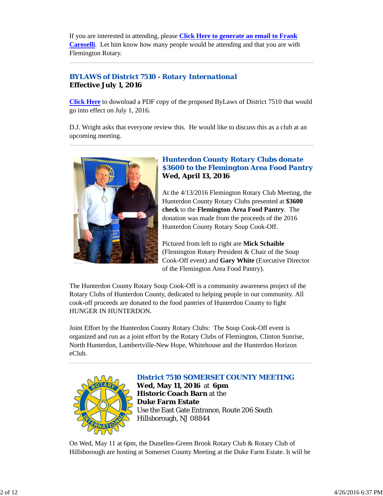If you are interested in attending, please **Click Here to generate an email to Frank Caroselli**. Let him know how many people would be attending and that you are with Flemington Rotary.

### *BYLAWS of District 7510 - Rotary International* **Effective July 1, 2016**

**Click Here** to download a PDF copy of the proposed ByLaws of District 7510 that would go into effect on July 1, 2016.

D.J. Wright asks that everyone review this. He would like to discuss this as a club at an upcoming meeting.



### *Hunterdon County Rotary Clubs donate \$3600 to the Flemington Area Food Pantry* **Wed, April 13, 2016**

At the 4/13/2016 Flemington Rotary Club Meeting, the Hunterdon County Rotary Clubs presented at **\$3600 check** to the **Flemington Area Food Pantry**. The donation was made from the proceeds of the 2016 Hunterdon County Rotary Soup Cook-Off.

Pictured from left to right are **Mick Schaible** (Flemington Rotary President & Chair of the Soup Cook-Off event) and **Gary White** (Executive Director of the Flemington Area Food Pantry).

The Hunterdon County Rotary Soup Cook-Off is a community awareness project of the Rotary Clubs of Hunterdon County, dedicated to helping people in our community. All cook-off proceeds are donated to the food pantries of Hunterdon County to fight HUNGER IN HUNTERDON.

Joint Effort by the Hunterdon County Rotary Clubs: The Soup Cook-Off event is organized and run as a joint effort by the Rotary Clubs of Flemington, Clinton Sunrise, North Hunterdon, Lambertville-New Hope, Whitehouse and the Hunterdon Horizon eClub.



### *District 7510 SOMERSET COUNTY MEETING*

**Wed, May 11, 2016** at **6pm Historic Coach Barn** at the **Duke Farm Estate** Use the East Gate Entrance, Route 206 South Hillsborough, NJ 08844

On Wed, May 11 at 6pm, the Dunellen-Green Brook Rotary Club & Rotary Club of Hillsborough are hosting at Somerset County Meeting at the Duke Farm Estate. It will be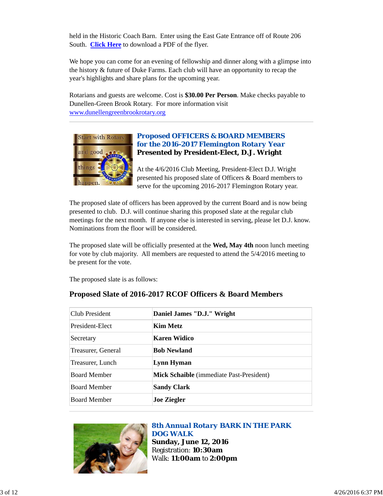held in the Historic Coach Barn. Enter using the East Gate Entrance off of Route 206 South. **Click Here** to download a PDF of the flyer.

We hope you can come for an evening of fellowship and dinner along with a glimpse into the history & future of Duke Farms. Each club will have an opportunity to recap the year's highlights and share plans for the upcoming year.

Rotarians and guests are welcome. Cost is **\$30.00 Per Person**. Make checks payable to Dunellen-Green Brook Rotary. For more information visit www.dunellengreenbrookrotary.org



### *Proposed OFFICERS & BOARD MEMBERS for the 2016-2017 Flemington Rotary Year* **Presented by President-Elect, D.J. Wright**

At the 4/6/2016 Club Meeting, President-Elect D.J. Wright presented his proposed slate of Officers & Board members to serve for the upcoming 2016-2017 Flemington Rotary year.

The proposed slate of officers has been approved by the current Board and is now being presented to club. D.J. will continue sharing this proposed slate at the regular club meetings for the next month. If anyone else is interested in serving, please let D.J. know. Nominations from the floor will be considered.

The proposed slate will be officially presented at the **Wed, May 4th** noon lunch meeting for vote by club majority. All members are requested to attend the 5/4/2016 meeting to be present for the vote.

The proposed slate is as follows:

# **Proposed Slate of 2016-2017 RCOF Officers & Board Members**

| Club President      | Daniel James "D.J." Wright               |
|---------------------|------------------------------------------|
| President-Elect     | Kim Metz                                 |
| Secretary           | Karen Widico                             |
| Treasurer, General  | <b>Bob Newland</b>                       |
| Treasurer, Lunch    | Lynn Hyman                               |
| <b>Board Member</b> | Mick Schaible (immediate Past-President) |
| <b>Board Member</b> | <b>Sandy Clark</b>                       |
| <b>Board Member</b> | <b>Joe Ziegler</b>                       |



### *8th Annual Rotary BARK IN THE PARK DOG WALK* **Sunday, June 12, 2016** Registration: **10:30am** Walk: **11:00am** to **2:00pm**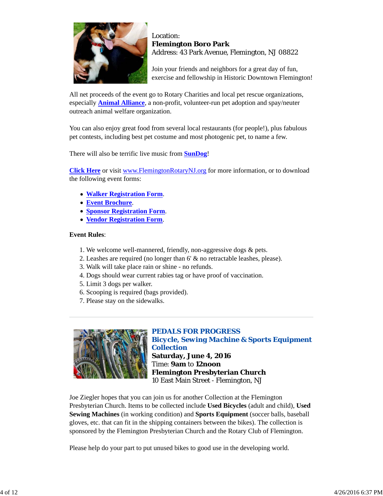

### Location: **Flemington Boro Park** Address: 43 Park Avenue, Flemington, NJ 08822

Join your friends and neighbors for a great day of fun, exercise and fellowship in Historic Downtown Flemington!

All net proceeds of the event go to Rotary Charities and local pet rescue organizations, especially **Animal Alliance**, a non-profit, volunteer-run pet adoption and spay/neuter outreach animal welfare organization.

You can also enjoy great food from several local restaurants (for people!), plus fabulous pet contests, including best pet costume and most photogenic pet, to name a few.

There will also be terrific live music from **SunDog**!

**Click Here** or visit www.FlemingtonRotaryNJ.org for more information, or to download the following event forms:

- **Walker Registration Form**.
- **Event Brochure**.
- **Sponsor Registration Form**.
- **Vendor Registration Form**.

### **Event Rules**:

- 1. We welcome well-mannered, friendly, non-aggressive dogs & pets.
- 2. Leashes are required (no longer than 6' & no retractable leashes, please).
- 3. Walk will take place rain or shine no refunds.
- 4. Dogs should wear current rabies tag or have proof of vaccination.
- 5. Limit 3 dogs per walker.
- 6. Scooping is required (bags provided).
- 7. Please stay on the sidewalks.



### *PEDALS FOR PROGRESS Bicycle, Sewing Machine & Sports Equipment Collection* **Saturday, June 4, 2016** Time: **9am** to **12noon Flemington Presbyterian Church** 10 East Main Street - Flemington, NJ

Joe Ziegler hopes that you can join us for another Collection at the Flemington Presbyterian Church. Items to be collected include **Used Bicycles** (adult and child), **Used Sewing Machines** (in working condition) and **Sports Equipment** (soccer balls, baseball gloves, etc. that can fit in the shipping containers between the bikes). The collection is sponsored by the Flemington Presbyterian Church and the Rotary Club of Flemington.

Please help do your part to put unused bikes to good use in the developing world.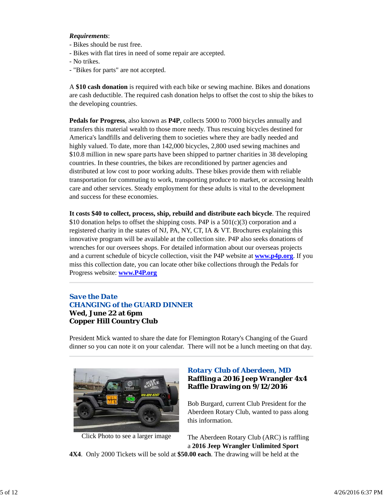### *Requirements*:

- Bikes should be rust free.
- Bikes with flat tires in need of some repair are accepted.
- No trikes.
- "Bikes for parts" are not accepted.

A **\$10 cash donation** is required with each bike or sewing machine. Bikes and donations are cash deductible. The required cash donation helps to offset the cost to ship the bikes to the developing countries.

**Pedals for Progress**, also known as **P4P**, collects 5000 to 7000 bicycles annually and transfers this material wealth to those more needy. Thus rescuing bicycles destined for America's landfills and delivering them to societies where they are badly needed and highly valued. To date, more than 142,000 bicycles, 2,800 used sewing machines and \$10.8 million in new spare parts have been shipped to partner charities in 38 developing countries. In these countries, the bikes are reconditioned by partner agencies and distributed at low cost to poor working adults. These bikes provide them with reliable transportation for commuting to work, transporting produce to market, or accessing health care and other services. Steady employment for these adults is vital to the development and success for these economies.

**It costs \$40 to collect, process, ship, rebuild and distribute each bicycle**. The required \$10 donation helps to offset the shipping costs. P4P is a  $501(c)(3)$  corporation and a registered charity in the states of NJ, PA, NY, CT, IA & VT. Brochures explaining this innovative program will be available at the collection site. P4P also seeks donations of wrenches for our oversees shops. For detailed information about our overseas projects and a current schedule of bicycle collection, visit the P4P website at **www.p4p.org**. If you miss this collection date, you can locate other bike collections through the Pedals for Progress website: **www.P4P.org**

### *Save the Date CHANGING of the GUARD DINNER* **Wed, June 22 at 6pm Copper Hill Country Club**

President Mick wanted to share the date for Flemington Rotary's Changing of the Guard dinner so you can note it on your calendar. There will not be a lunch meeting on that day.



Click Photo to see a larger image

### *Rotary Club of Aberdeen, MD* **Raffling a 2016 Jeep Wrangler 4x4 Raffle Drawing on 9/12/2016**

Bob Burgard, current Club President for the Aberdeen Rotary Club, wanted to pass along this information.

The Aberdeen Rotary Club (ARC) is raffling a **2016 Jeep Wrangler Unlimited Sport**

**4X4**. Only 2000 Tickets will be sold at **\$50.00 each**. The drawing will be held at the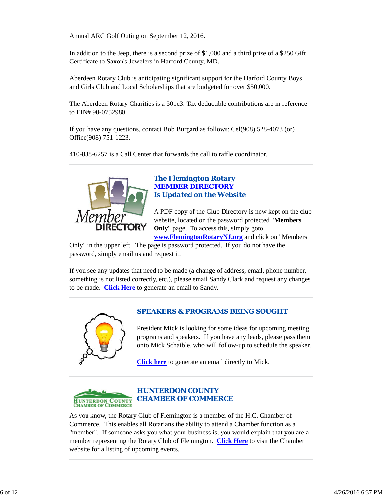Annual ARC Golf Outing on September 12, 2016.

In addition to the Jeep, there is a second prize of \$1,000 and a third prize of a \$250 Gift Certificate to Saxon's Jewelers in Harford County, MD.

Aberdeen Rotary Club is anticipating significant support for the Harford County Boys and Girls Club and Local Scholarships that are budgeted for over \$50,000.

The Aberdeen Rotary Charities is a 501c3. Tax deductible contributions are in reference to EIN# 90-0752980.

If you have any questions, contact Bob Burgard as follows: Cel(908) 528-4073 (or) Office(908) 751-1223.

410-838-6257 is a Call Center that forwards the call to raffle coordinator.



### *The Flemington Rotary MEMBER DIRECTORY Is Updated on the Website*

A PDF copy of the Club Directory is now kept on the club website, located on the password protected "**Members Only**" page. To access this, simply goto

**www.FlemingtonRotaryNJ.org** and click on "Members Only" in the upper left. The page is password protected. If you do not have the password, simply email us and request it.

If you see any updates that need to be made (a change of address, email, phone number, something is not listed correctly, etc.), please email Sandy Clark and request any changes to be made. **Click Here** to generate an email to Sandy.



# *SPEAKERS & PROGRAMS BEING SOUGHT*

President Mick is looking for some ideas for upcoming meeting programs and speakers. If you have any leads, please pass them onto Mick Schaible, who will follow-up to schedule the speaker.

**Click here** to generate an email directly to Mick.



### *HUNTERDON COUNTY CHAMBER OF COMMERCE*

As you know, the Rotary Club of Flemington is a member of the H.C. Chamber of Commerce. This enables all Rotarians the ability to attend a Chamber function as a "member". If someone asks you what your business is, you would explain that you are a member representing the Rotary Club of Flemington. **Click Here** to visit the Chamber website for a listing of upcoming events.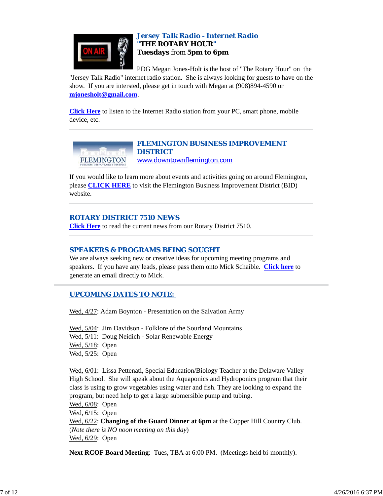

### *Jersey Talk Radio - Internet Radio "THE ROTARY HOUR"* **Tuesdays** from **5pm to 6pm**

PDG Megan Jones-Holt is the host of "The Rotary Hour" on the "Jersey Talk Radio" internet radio station. She is always looking for guests to have on the

show. If you are intersted, please get in touch with Megan at (908)894-4590 or **mjonesholt@gmail.com**.

**Click Here** to listen to the Internet Radio station from your PC, smart phone, mobile device, etc.



*FLEMINGTON BUSINESS IMPROVEMENT DISTRICT* www.downtownflemington.com

If you would like to learn more about events and activities going on around Flemington, please **CLICK HERE** to visit the Flemington Business Improvement District (BID) website.

### *ROTARY DISTRICT 7510 NEWS*

**Click Here** to read the current news from our Rotary District 7510.

### *SPEAKERS & PROGRAMS BEING SOUGHT*

We are always seeking new or creative ideas for upcoming meeting programs and speakers. If you have any leads, please pass them onto Mick Schaible. **Click here** to generate an email directly to Mick.

### *UPCOMING DATES TO NOTE:*

Wed,  $4/27$ : Adam Boynton - Presentation on the Salvation Army

Wed, 5/04: Jim Davidson - Folklore of the Sourland Mountains Wed, 5/11: Doug Neidich - Solar Renewable Energy Wed, 5/18: Open Wed, 5/25: Open

Wed, 6/01: Lissa Pettenati, Special Education/Biology Teacher at the Delaware Valley High School. She will speak about the Aquaponics and Hydroponics program that their class is using to grow vegetables using water and fish. They are looking to expand the program, but need help to get a large submersible pump and tubing.

Wed, 6/08: Open Wed, 6/15: Open

Wed, 6/22: **Changing of the Guard Dinner at 6pm** at the Copper Hill Country Club. (*Note there is NO noon meeting on this day*) Wed, 6/29: Open

**Next RCOF Board Meeting**: Tues, TBA at 6:00 PM. (Meetings held bi-monthly).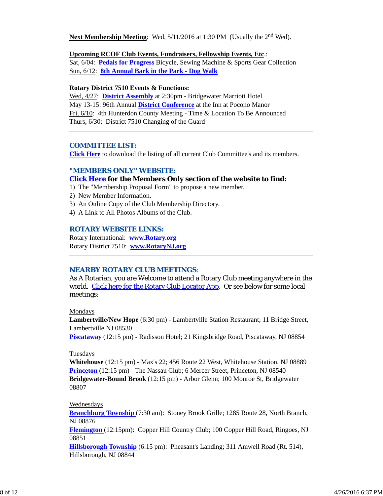Next Membership Meeting: Wed, 5/11/2016 at 1:30 PM (Usually the 2<sup>nd</sup> Wed).

#### **Upcoming RCOF Club Events, Fundraisers, Fellowship Events, Etc**.:

Sat, 6/04: **Pedals for Progress** Bicycle, Sewing Machine & Sports Gear Collection Sun, 6/12: **8th Annual Bark in the Park - Dog Walk**

#### **Rotary District 7510 Events & Functions:**

Wed, 4/27: **District Assembly** at 2:30pm - Bridgewater Marriott Hotel May 13-15: 96th Annual **District Conference** at the Inn at Pocono Manor Fri, 6/10: 4th Hunterdon County Meeting - Time & Location To Be Announced Thurs, 6/30: District 7510 Changing of the Guard

#### *COMMITTEE LIST:*

**Click Here** to download the listing of all current Club Committee's and its members.

### *"MEMBERS ONLY" WEBSITE:*

#### **Click Here for the Members Only section of the website to find:**

- 1) The "Membership Proposal Form" to propose a new member.
- 2) New Member Information.
- 3) An Online Copy of the Club Membership Directory.
- 4) A Link to All Photos Albums of the Club.

#### *ROTARY WEBSITE LINKS:*

Rotary International: **www.Rotary.org** Rotary District 7510: **www.RotaryNJ.org**

#### *NEARBY ROTARY CLUB MEETINGS:*

As A Rotarian, you are Welcome to attend a Rotary Club meeting anywhere in the world. Click here for the Rotary Club Locator App. Or see below for some local meetings:

#### Mondays

**Lambertville/New Hope** (6:30 pm) - Lambertville Station Restaurant; 11 Bridge Street, Lambertville NJ 08530

**Piscataway** (12:15 pm) - Radisson Hotel; 21 Kingsbridge Road, Piscataway, NJ 08854

#### Tuesdays

**Whitehouse** (12:15 pm) - Max's 22; 456 Route 22 West, Whitehouse Station, NJ 08889 **Princeton** (12:15 pm) - The Nassau Club; 6 Mercer Street, Princeton, NJ 08540 **Bridgewater-Bound Brook** (12:15 pm) - Arbor Glenn; 100 Monroe St, Bridgewater 08807

#### Wednesdays

**Branchburg Township** (7:30 am): Stoney Brook Grille; 1285 Route 28, North Branch, NJ 08876

**Flemington** (12:15pm): Copper Hill Country Club; 100 Copper Hill Road, Ringoes, NJ 08851

**Hillsborough Township** (6:15 pm): Pheasant's Landing; 311 Amwell Road (Rt. 514), Hillsborough, NJ 08844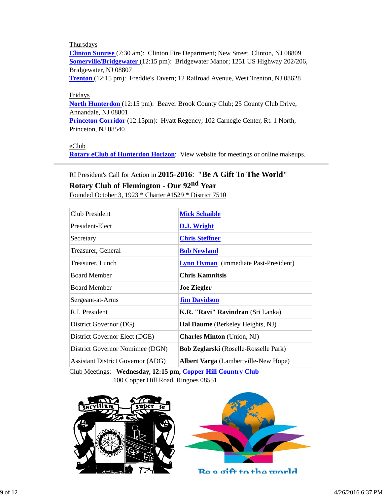### **Thursdays**

**Clinton Sunrise** (7:30 am): Clinton Fire Department; New Street, Clinton, NJ 08809 **Somerville/Bridgewater** (12:15 pm): Bridgewater Manor; 1251 US Highway 202/206, Bridgewater, NJ 08807

**Trenton** (12:15 pm): Freddie's Tavern; 12 Railroad Avenue, West Trenton, NJ 08628

#### Fridays

**North Hunterdon** (12:15 pm): Beaver Brook County Club; 25 County Club Drive, Annandale, NJ 08801

**Princeton Corridor** (12:15pm): Hyatt Regency; 102 Carnegie Center, Rt. 1 North, Princeton, NJ 08540

eClub

**Rotary eClub of Hunterdon Horizon**: View website for meetings or online makeups.

# RI President's Call for Action in **2015-2016**: **"Be A Gift To The World"**

# **Rotary Club of Flemington - Our 92nd Year**

Founded October 3, 1923 \* Charter #1529 \* District 7510

| Club President                                                                                            | <b>Mick Schaible</b>                         |  |  |
|-----------------------------------------------------------------------------------------------------------|----------------------------------------------|--|--|
| President-Elect                                                                                           | D.J. Wright                                  |  |  |
| Secretary                                                                                                 | <b>Chris Steffner</b>                        |  |  |
| Treasurer, General                                                                                        | <b>Bob Newland</b>                           |  |  |
| Treasurer, Lunch                                                                                          | <b>Lynn Hyman</b> (immediate Past-President) |  |  |
| <b>Board Member</b>                                                                                       | <b>Chris Kamnitsis</b>                       |  |  |
| <b>Board Member</b>                                                                                       | <b>Joe Ziegler</b>                           |  |  |
| Sergeant-at-Arms                                                                                          | <b>Jim Davidson</b>                          |  |  |
| R.I. President                                                                                            | <b>K.R. "Ravi" Ravindran</b> (Sri Lanka)     |  |  |
| District Governor (DG)                                                                                    | Hal Daume (Berkeley Heights, NJ)             |  |  |
| District Governor Elect (DGE)                                                                             | <b>Charles Minton</b> (Union, NJ)            |  |  |
| District Governor Nomimee (DGN)                                                                           | <b>Bob Zeglarski</b> (Roselle-Rosselle Park) |  |  |
| <b>Assistant District Governor (ADG)</b>                                                                  | Albert Varga (Lambertville-New Hope)         |  |  |
| $C_{\text{lab}}$ Mostings. Wednesday 12.15 nm $C_{\text{cnnam}}$ Will $C_{\text{cnnum}}$ $C_{\text{lab}}$ |                                              |  |  |

Club Meetings: **Wednesday, 12:15 pm, Copper Hill Country Club** 100 Copper Hill Road, Ringoes 08551





Be a gift to the world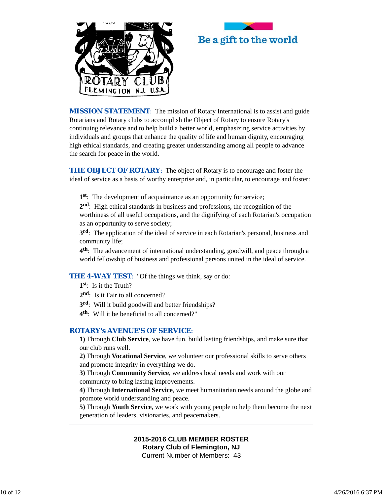



*MISSION STATEMENT*: The mission of Rotary International is to assist and guide Rotarians and Rotary clubs to accomplish the Object of Rotary to ensure Rotary's continuing relevance and to help build a better world, emphasizing service activities by individuals and groups that enhance the quality of life and human dignity, encouraging high ethical standards, and creating greater understanding among all people to advance the search for peace in the world.

**THE OBJECT OF ROTARY:** The object of Rotary is to encourage and foster the ideal of service as a basis of worthy enterprise and, in particular, to encourage and foster:

**1st**: The development of acquaintance as an opportunity for service;

**2nd**: High ethical standards in business and professions, the recognition of the worthiness of all useful occupations, and the dignifying of each Rotarian's occupation as an opportunity to serve society;

**3rd**: The application of the ideal of service in each Rotarian's personal, business and community life;

**4th**: The advancement of international understanding, goodwill, and peace through a world fellowship of business and professional persons united in the ideal of service.

**THE 4-WAY TEST:** "Of the things we think, say or do:

- **1st**: Is it the Truth?
- 2<sup>nd</sup>: Is it Fair to all concerned?
- **3rd**: Will it build goodwill and better friendships?
- **4th**: Will it be beneficial to all concerned?"

### *ROTARY's AVENUE'S OF SERVICE*:

**1)** Through **Club Service**, we have fun, build lasting friendships, and make sure that our club runs well.

**2)** Through **Vocational Service**, we volunteer our professional skills to serve others and promote integrity in everything we do.

**3)** Through **Community Service**, we address local needs and work with our community to bring lasting improvements.

**4)** Through **International Service**, we meet humanitarian needs around the globe and promote world understanding and peace.

**5)** Through **Youth Service**, we work with young people to help them become the next generation of leaders, visionaries, and peacemakers.

### **2015-2016 CLUB MEMBER ROSTER Rotary Club of Flemington, NJ** Current Number of Members: 43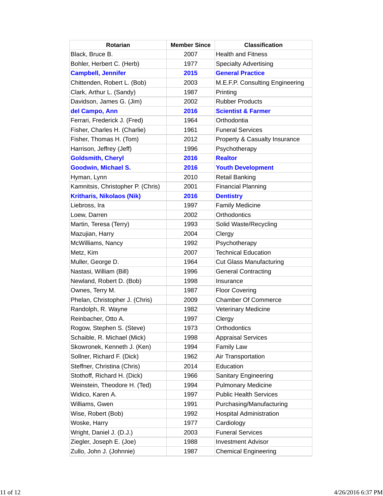| <b>Rotarian</b>                   | <b>Member Since</b> | <b>Classification</b>           |
|-----------------------------------|---------------------|---------------------------------|
| Black, Bruce B.                   | 2007                | <b>Health and Fitness</b>       |
| Bohler, Herbert C. (Herb)         | 1977                | <b>Specialty Advertising</b>    |
| <b>Campbell, Jennifer</b>         | 2015                | <b>General Practice</b>         |
| Chittenden, Robert L. (Bob)       | 2003                | M.E.F.P. Consulting Engineering |
| Clark, Arthur L. (Sandy)          | 1987                | Printing                        |
| Davidson, James G. (Jim)          | 2002                | <b>Rubber Products</b>          |
| del Campo, Ann                    | 2016                | <b>Scientist &amp; Farmer</b>   |
| Ferrari, Frederick J. (Fred)      | 1964                | Orthodontia                     |
| Fisher, Charles H. (Charlie)      | 1961                | <b>Funeral Services</b>         |
| Fisher, Thomas H. (Tom)           | 2012                | Property & Casualty Insurance   |
| Harrison, Jeffrey (Jeff)          | 1996                | Psychotherapy                   |
| <b>Goldsmith, Cheryl</b>          | 2016                | <b>Realtor</b>                  |
| <b>Goodwin, Michael S.</b>        | 2016                | <b>Youth Development</b>        |
| Hyman, Lynn                       | 2010                | <b>Retail Banking</b>           |
| Kamnitsis, Christopher P. (Chris) | 2001                | <b>Financial Planning</b>       |
| <b>Kritharis, Nikolaos (Nik)</b>  | 2016                | <b>Dentistry</b>                |
| Liebross, Ira                     | 1997                | <b>Family Medicine</b>          |
| Loew, Darren                      | 2002                | Orthodontics                    |
| Martin, Teresa (Terry)            | 1993                | Solid Waste/Recycling           |
| Mazujian, Harry                   | 2004                | Clergy                          |
| McWilliams, Nancy                 | 1992                | Psychotherapy                   |
| Metz, Kim                         | 2007                | <b>Technical Education</b>      |
| Muller, George D.                 | 1964                | <b>Cut Glass Manufacturing</b>  |
| Nastasi, William (Bill)           | 1996                | <b>General Contracting</b>      |
| Newland, Robert D. (Bob)          | 1998                | Insurance                       |
| Ownes, Terry M.                   | 1987                | <b>Floor Covering</b>           |
| Phelan, Christopher J. (Chris)    | 2009                | <b>Chamber Of Commerce</b>      |
| Randolph, R. Wayne                | 1982                | Veterinary Medicine             |
| Reinbacher, Otto A.               | 1997                | Clergy                          |
| Rogow, Stephen S. (Steve)         | 1973                | Orthodontics                    |
| Schaible, R. Michael (Mick)       | 1998                | <b>Appraisal Services</b>       |
| Skowronek, Kenneth J. (Ken)       | 1994                | <b>Family Law</b>               |
| Sollner, Richard F. (Dick)        | 1962                | Air Transportation              |
| Steffner, Christina (Chris)       | 2014                | Education                       |
| Stothoff, Richard H. (Dick)       | 1966                | <b>Sanitary Engineering</b>     |
| Weinstein, Theodore H. (Ted)      | 1994                | <b>Pulmonary Medicine</b>       |
| Widico, Karen A.                  | 1997                | <b>Public Health Services</b>   |
| Williams, Gwen                    | 1991                | Purchasing/Manufacturing        |
| Wise, Robert (Bob)                | 1992                | <b>Hospital Administration</b>  |
| Woske, Harry                      | 1977                | Cardiology                      |
| Wright, Daniel J. (D.J.)          | 2003                | <b>Funeral Services</b>         |
| Ziegler, Joseph E. (Joe)          | 1988                | <b>Investment Advisor</b>       |
| Zullo, John J. (Johnnie)          | 1987                | <b>Chemical Engineering</b>     |